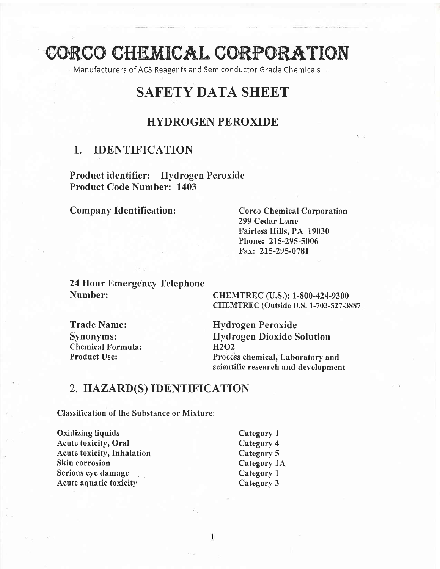# CORCO CHEMICAL CORPORATION

Manufacturers of ACS Reagents and Semlconductor Grade Chemlcals

# SAFETY DATA SHEET

## HYDROGEN PEROXIDE

### 1. IDENTIFICATION

Product identifier: Hydrogen Peroxide Product Code Number: 1403

#### Company Identification: Corco Chemical Corporation

299 Cedar Lane Fairless Hills, PA 19030 Phone: 215-295-5006 Fax: 215-295-0781

24 Hour Emergency Telephone Number:

CHEMTREC (U.S.): 1-800-424-9300 CHEMTREC (Outside U.S. 1-703-527 -3887

Trade Name: Synonyms: Chemical Formula: Product Use:

Hydrogen Peroxide Hydrogen Dioxide Solution }I2o2 Process chemical, Laboratory and scientific research and development

## 2. HAZARD(S) IDENTIFICATION

Classification of the Substance or Mixture:

Oxidizing liquids Acute toxicity, Oral Acute toxicity, Inhalation Skin corrosion Serious eye damage Acute aquatic toxicity

Category I Category 4 Category 5 Category 1A Category <sup>1</sup> Category 3

1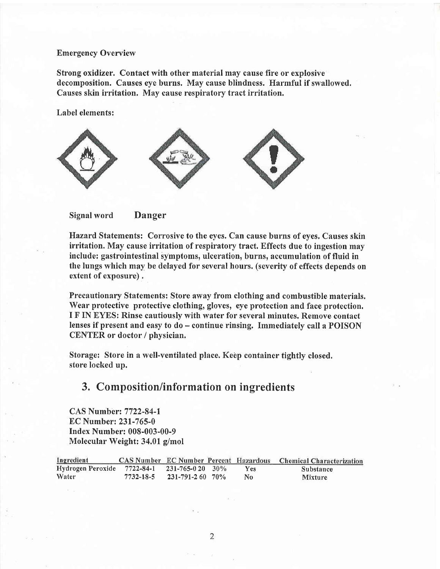#### Emergency Overview

Strong oxidizer. Contact with other material may cause fire or explosive decomposition. Causes eye burns. May cause blindness. Harmful if swallowed. Causes skin irritation. May cause respiratory tract irritation.

Label elements:





Hazard Statements: Corrosive to the eyes. Can cause burns of eyes, Causes skin irritation. May cause irritation of respiratory tract. Effects due to ingestion may include: gastrointestinal symptoms, ulceration, burns, accumulation of fluid in the lungs which may be delayed for several hours. (severity of effects depends on extent of exposure) .

Precautionary Statements: Store away from clothing and combustible materials. Wear protective protective clothing, gloves, eye protection and face protection. I F IN EYES: Rinse cautiously with water for several minutes. Remove contact lenses if present and easy to do - continue rinsing. Immediately call a POISON CENTER or doctor / physician.

Storage: Store in a well-ventilated place. Keep container tightly closed. store locked up.

## 3. Composition/information on ingredients

CAS Number: 7722-84-1 EC Number: 231-765-0 Index Number: 008-003-00-9 Molecular Weight: 34.01 g/mol

| Ingredient                                   |           |                       |            | CAS Number EC Number Percent Hazardous Chemical Characterization |
|----------------------------------------------|-----------|-----------------------|------------|------------------------------------------------------------------|
| Hydrogen Peroxide 7722-84-1 231-765-0 20 30% |           |                       | <b>Yes</b> | Substance                                                        |
| Water                                        | 7732-18-5 | $231 - 791 - 260$ 70% | No         | <b>Mixture</b>                                                   |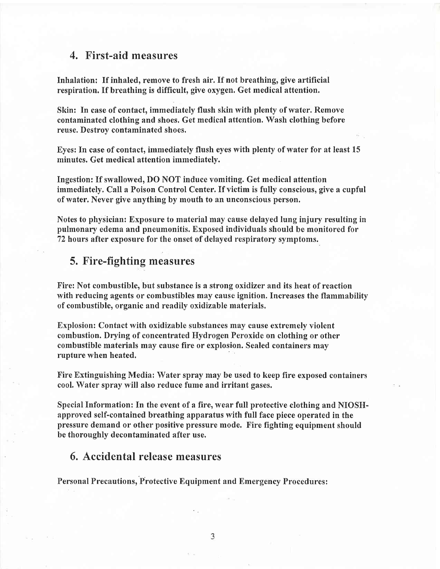#### 4, First-aid measures

Inhalation: If inhaled, remove to fresh air. If not breathing, give artificial respiration. If breathing is difficult, give oxygen. Get medical attention.

Skin: In case of contact, immediately flush skin with plenty of water. Remove contaminated clothing and shoes. Get medical attention. Wash clothing before reuse. Destroy contaminated shoes.

Eyes: In case of contact, immediately flush eyes with plenty of water for at least 15 minutes. Get medical attention immediately.

Ingestion: If swallowed, DO NOT induce vomiting. Get medical attention immediately. Call a Poison Control Center. If victim is fully conscious, give a cupful of water. Never give anything by mouth to an unconscious person.

Notes to physician: Exposure to material may cause delayed lung injury resulting in pulmonary edema and pneumonitis. Exposed individuals should be monitored for 72 hours after exposure for the onset of delayed respiratory symptoms.

#### 5. Fire-fighting measures

Fire: Not combustible, but substance is a strong oxidizer and its heat of reaction with reducing agents or combustibles may cause ignition. Increases the flammability of combustible, organic and readily oxidizable materials.

Explosion: Contact with oxidizable substances may cause extremely violent combustion. Drying of concentrated Hydrogen Peroxide on clothing or other combustible materials may cause fire or explosion. Sealed containers may rupture when heated.

Fire Extinguishing Media: Water spray may be used to keep fire exposed containers cool, Water spray will also reduce fume and irritant gases.

Special Information: In the event of a fire, wear full protective clothing and NIOSHapproved self-contained breathing apparatus with full face piece operated in the pressure demand or other positive pressure mode. Fire fighting equipment should be thoroughly decontaminated after use.

# 6. Accidental release measures

Personal Precautions,'Protective Equipment and Emergency Procedures: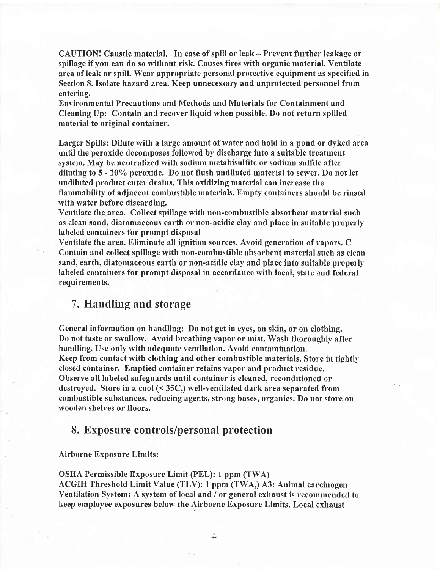CAUTION! Caustic material. In case of spill or leak - Prevent further leakage or spillage if you can do so without risk. Causes fires with organic material. Ventilate area of leak or spill. Wear appropriate personal protective equipment as specified in Section 8. Isolate hazard area. Keep unnecessary and unprotected personnel from entering.

Environmental Precautions and Methods and Materials for Containment and Cleaning Up: Contain and recover liquid when possible. Do not return spilled material to original container.

Larger Spills: Dilute with a large amount of water and hold in a pond or dyked area until the peroxide decomposes followed by discharge into a suitable treatment system, May be neutralized with sodium metabisulfite or sodium sulfite after diluting to 5 - l0'/o peroxide. Do not flush undiluted material to sewer. Do not let undiluted product enter drains. This oxidizing material can increase the flammability of adjacent combustible materials, Empty containers should be rinsed with water before discarding.

Ventilate the area. Collect spillage with non-combustible absorbent material such as clean sand, diatomaceous earth or non-acidic clay and place in suitable properly labeled containers for prompt disposal

Ventilate the area. Eliminate all ignition sources. Avoid generation of vapors. C Contain and collect spillage with non-combustible absorbent material such as clean sand, earth, diatomaceous earth or non-acidic clay and place into suitable properly labeled containers for prompt disposal in accordance with local, state and federal requirements.

#### 7. Handling and storage

General information on handling: Do not get in eyes, on skin, or on clothing. Do not taste or swallow. Avoid breathing vapor or mist. Wash thoroughly after handling. Use only with adequate ventilation. Avoid contamination. Keep from contact with clothing and other combustible materials. Store in tightly closed container. Emptied container retains vapor and product residue. Observe all labeled safeguards until container is cleaned, reconditioned or destroyed. Store in a cool (< 35C,) well-ventilated dark area separated from combustible substances, reducing agents, strong bases, organics. Do not store on wooden shelves or floors.

#### 8. Exposure controls/personal protection

#### Airborne Exposure Limits :

OSHA Permissible Exposure Limit (PEL): 1 ppm (TWA) ACGIH Threshold Limit Value (TLV): 1 ppm (TWA,) A3: Animal carcinogen Ventilation System: A system of local and / or general exhaust is recommended to keep employee exposures below the Airborne Exposure Limits. Local exhaust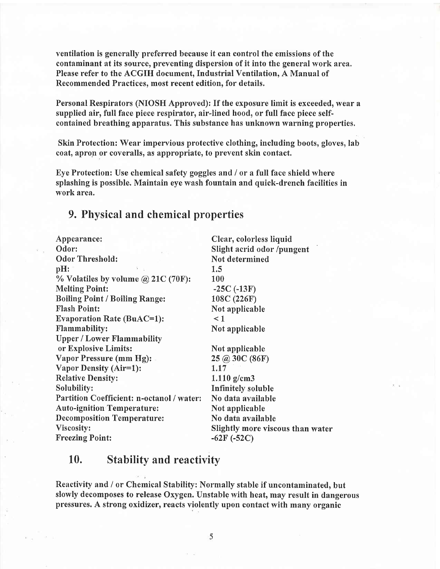ventilation is generally preferred because it can control the emissions of the contaminant at its source, preventing dispersion of it into the general work area. Please refer to the ACGIH document, Industrial Ventilation, A Manual of Recommended Practices, most recent edition, for details,

Personal Respirators (NIOSH Approved): If the exposure limit is exceeded, wear <sup>a</sup> supplied air, full face piece respirator, air-lined hood, or full face piece selfcontained breathing apparatus. This substance has unknown warning properties,

Skin Protection: Wear impervious protective clothing, including boots, gloves, lab coat, apron or coveralls, as appropriate, to prevent skin contact.

Eye Protection: Use chemical safety goggles and / or a full face shield where splashing is possible. Maintain eye wash fountain and quick-drench facilities in work area.

#### 9. Physical and chemical properties

Appearance: Odor: Odor Threshold: pH:  $%$  Volatiles by volume @ 21C (70F): Melting Point: Boiling Point / Boiling Range: Flash Point: Evaporation Rate (BuAC=1): Flammability: Upper / Lower Flammability or Explosive Limits: Vapor Pressure (mm Hg): Vapor Density (Air=l): Relative Densify: Solubilify: Partition Coefficient: n-octanol / water: Auto-ignition Temperature: Decomposition Temperature: Viscosity: Freezing Point: Clear, colorless liquid Slight acrid odor /pungent Not determined 1.5 100  $-25C$  ( $-13F$ ) 108C (226F) Not applicable  $\leq$  1 Not applicable Not applicable 2s @ 30c (86F) 1.17 1.110 g/cm3 Infinitely soluble No data available Not applicable No data available Slightly more viscous than water -62F (-52C)

#### Stabilitv and reactivitv 10.

Reactivity and / or Chemical Stability: Normally stable if uncontaminated, but slowly decomposes to release Oxygen. Unstable with heat, may result in dangerous pressures. A strong oxidizer, reacts violently upon contact with many organic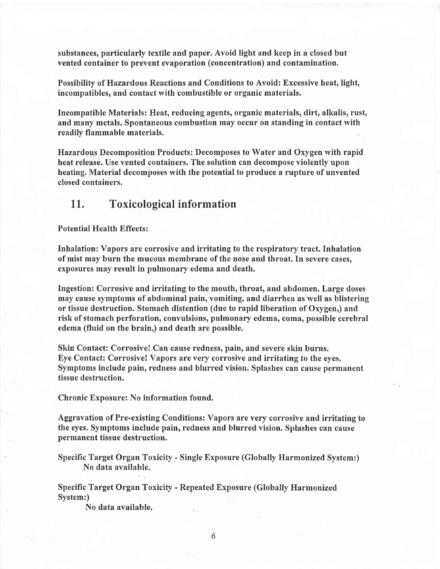substances, particularly textile and paper. Avoid light and keep in a closed but vented container to prevent evaporation (concentration) and contamination.

Possibilify of Hazardous Reactions and Conditions to Avoid: Excessive heat, light, incompatibles, and contact with combustible or organic materials.

Incompatible Materials: Heat, reducing agents, organic materials, dirt, alkalis, rust, and many metals. Spontaneous combustion may occur on standing in contact with readily flammable materials.

Hazardous Decomposition Products: Decomposes to Water and Oxygen with rapid heat release. Use vented containers. The solution can decompose violently upon heating. Material decomposes with the potential to produce a rupture of unvented closed containers,

#### 11. Toxicological information

#### Potential Health Effects :

Inhalation: Vapors are corrosive and irritating to the respiratory tract. Inhalation of mist may burn the mucous membrane of the nose and throat. In severe cases, exposures may result in pulmonary edema and death.

Ingestion: Corrosive and irritating to the mouth, throat, and abdomen. Large doses may cause symptoms of abdominal pain, vomiting, and diarrhea as well as blistering or tissue destruction. Stomach distention (due to rapid liberation of Oxygen,) and risk of stomach perforation, convulsions, pulmonary edema, coma, possible cerebral edema (fluid on the brain,) and death are possible.

Skin Contact: Corrosive! Can cause redness, pain, and severe skin burns. Eye Contact: Corrosive! Vapors are very corrosive and irritating to the eyes. Symptoms include pain, redness and blurred vision. Splashes can cause permanent tissue destruction.

Chronic Exposure: No information found.

Aggravation of Pre-existing Conditions: Vapors are very corrosive and irritating to the eyes. Symptoms include pain, redness and blurred vision. Splashes can cause permanent tissue destruction.

Specific Target Organ Toxicify - Single Exposure (Globally Harmonized System:) No data available.

Specific Target Organ Toxicity - Repeated Exposure (Globally Harmonized System:)

No data available.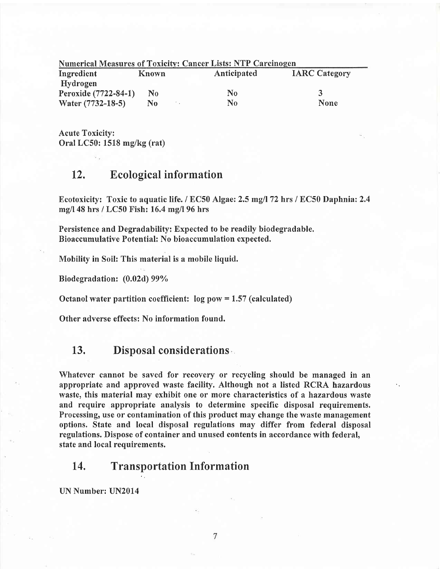| <b>Numerical Measures of Toxicity: Cancer Lists: NTP Carcinogen</b> |                |  |             |                      |  |  |  |
|---------------------------------------------------------------------|----------------|--|-------------|----------------------|--|--|--|
| Ingredient                                                          | Known          |  | Anticipated | <b>IARC Category</b> |  |  |  |
| Hydrogen                                                            |                |  |             |                      |  |  |  |
| Peroxide (7722-84-1)                                                | N <sub>0</sub> |  | No          | $\blacktriangleleft$ |  |  |  |
| Water (7732-18-5)                                                   | No             |  | No          | <b>None</b>          |  |  |  |

Acute Toxicity: Oral LC50: 1518 mg/kg (rat)

### 12, Ecological information

Ecotoxicity: Toxic to aquatic life. / EC50 Algae: 2.5 mg/l 72 hrs / EC50 Daphnia: 2.4 mgll48 hrs / LC50 Fish: 16.4 mg/l 96 hrs

Persistence and Degradability: Expected to be readily biodegradable. Bioaccumulative Potential: No bioaccumulation expected.

Mobility in Soil: This material is a mobile liquid.

Biodegradation: (0,02d) 99%

Octanol water partition coefficient:  $log pow = 1.57$  (calculated)

Other adverse effects; No information found.

#### 13. Disposal considerations

Whatever cannot be saved for recovery or recycling should be managed in an appropriate and approved waste facility. Although not a listed RCRA hazardous waste, this material may exhibit one or more characteristics of a hazardous waste and require appropriate analysis to determine specific disposal requirements. Processing, use or contamination of this product may change the waste management options. State and local disposal regulations may differ from federal disposal regulations. Dispose of container and unused contents in accordance with federal, state and local requirements.

#### 14, Transportation Information

UN Number: UN2014

 $\overline{7}$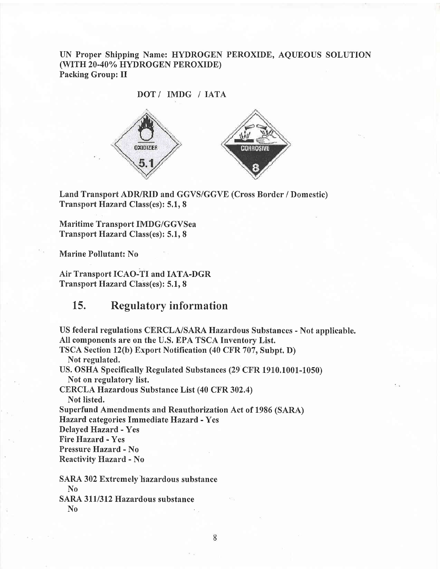UN Proper Shipping Name: HYDROGEN PEROXIDE, AQUEOUS SOLUTION (WITH 20-40% HYDROGEN PEROXIDE) Packing Group: II



Land Transport ADR/RID and GGVS/GGVE (Cross Border / Domestic) Transport Hazard Class(es): 5.1, 8

Maritime Transport IMDG/GGVSea Transport Hazard Class(es): 5.1,8

Marine Pollutant: No

Air Transport ICAO-TI and IATA-DGR Transport Hazard Class(es): 5.1,8

#### Regulatory inform ation 15.

US federal regulations CERCLA/SARA Hazardous Substances - Not applicable. All components are on the U.S. EPA TSCA Inventory List. TSCA Section 12(b) Export Notification (40 CFR 707, Subpt. D) Not regulated. US, OSHA Specifically Regulated Substances (29 CFR 1910.1001-1050) Not on regulatory list. CERCLA Hazardous Substance List (40 CFR 302,4) Not listed. Superfund Amendments and Reauthorization Act of 1986 (SARA) Hazard, categories Immediate Hazard - Yes Delayed Hazard - Yes Fire Hazard - Yes Pressure Hazard - No Reactivify Hazard - No SARA 302 Extremely'hazardous substance No

SARA 311/312 Hazardous substance No

8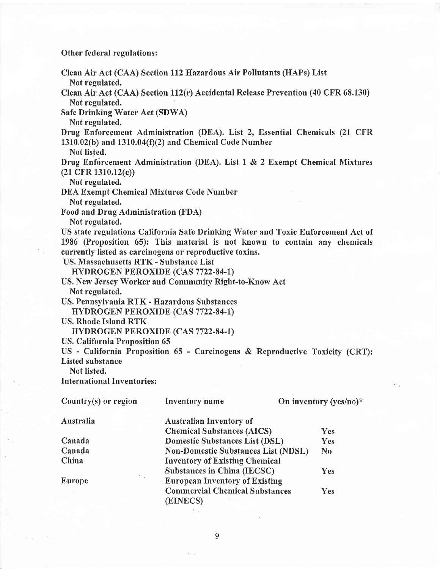Other federal regulations:

Clean Air Act (CAA) Section ll2Hazardous Air Pollutants (HAPs) List Not regulated.

Clean Air Act (CAA) Section 112(r) Accidental Release Prevention (40 CFR 68.130) Not regulated.

Safe Drinking Water Act (SDWA)

Not regulated.

Drug Enforcement Administration (DEA), List 2, Essential Chemicals (21 CFR 1310.02(b) and 1310.04(f)(2) and Chemical Code Number

Not listed.

Drug Enforcement Administration (DEA). List  $1 \& 2$  Exempt Chemical Mixtures (21 CFR 1310.12(c))

Not regulated.

DEA Exempt Chemical Mixtures Code Number

Not regulated.

Food and Drug Administration (FDA)

Not regulated.

US state regulations California Safe Drinking Water and Toxic Enforcement Act of 1986 (Proposition 65): This material is not known to contain any chemicals currently listed as carcinogens or reproductive toxins.

US. Massachusetts RTK - Substance List

HYDROGEN PEROXIDE (CAS 7722-84-1)

US. New Jersey Worker and Community Right-to-Know Act Not regulated.

US. Pennsylvania RTK - Hazardous Substances

HYDROGEN PEROXIDE (CAS 7722-84-1)

US, Rhode Island RTK

HYDROGEN PEROXTDE (CAS 7722-84-l)

US. California Proposition 65

US - California Proposition 65 - Carcinogens & Reproductive Toxicify (CRT): Listed substance

Not listed.

International Inventories :

| Country $(s)$ or region | Inventory name                                    | On inventory (yes/no)* |
|-------------------------|---------------------------------------------------|------------------------|
| Australia               | <b>Australian Inventory of</b>                    |                        |
|                         | <b>Chemical Substances (AICS)</b>                 | <b>Yes</b>             |
| Canada                  | <b>Domestic Substances List (DSL)</b>             | Yes                    |
| Canada                  | <b>Non-Domestic Substances List (NDSL)</b>        | $\bf N_0$              |
| China                   | <b>Inventory of Existing Chemical</b>             |                        |
|                         | <b>Substances in China (IECSC)</b>                | Yes                    |
| ٠<br>$\sim$<br>Europe   | <b>European Inventory of Existing</b>             |                        |
|                         | <b>Commercial Chemical Substances</b><br>(EINECS) | <b>Yes</b>             |